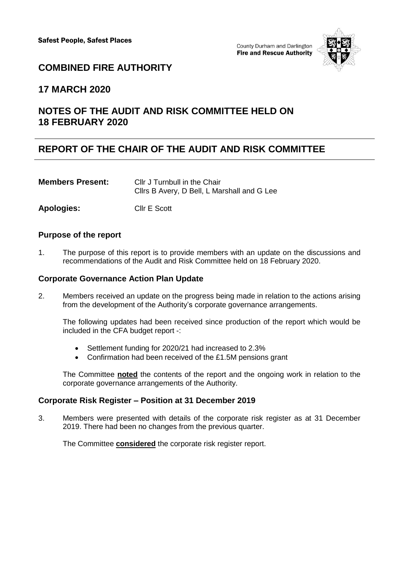County Durham and Darlington **Fire and Rescue Authority** 



## **COMBINED FIRE AUTHORITY**

## **17 MARCH 2020**

# **NOTES OF THE AUDIT AND RISK COMMITTEE HELD ON 18 FEBRUARY 2020**

# **REPORT OF THE CHAIR OF THE AUDIT AND RISK COMMITTEE**

**Members Present:** Cllr J Turnbull in the Chair Cllrs B Avery, D Bell, L Marshall and G Lee

**Apologies:** Cllr E Scott

### **Purpose of the report**

1. The purpose of this report is to provide members with an update on the discussions and recommendations of the Audit and Risk Committee held on 18 February 2020.

## **Corporate Governance Action Plan Update**

2. Members received an update on the progress being made in relation to the actions arising from the development of the Authority's corporate governance arrangements.

The following updates had been received since production of the report which would be included in the CFA budget report -:

- Settlement funding for 2020/21 had increased to 2.3%
- Confirmation had been received of the £1.5M pensions grant

The Committee **noted** the contents of the report and the ongoing work in relation to the corporate governance arrangements of the Authority.

## **Corporate Risk Register – Position at 31 December 2019**

3. Members were presented with details of the corporate risk register as at 31 December 2019. There had been no changes from the previous quarter.

The Committee **considered** the corporate risk register report.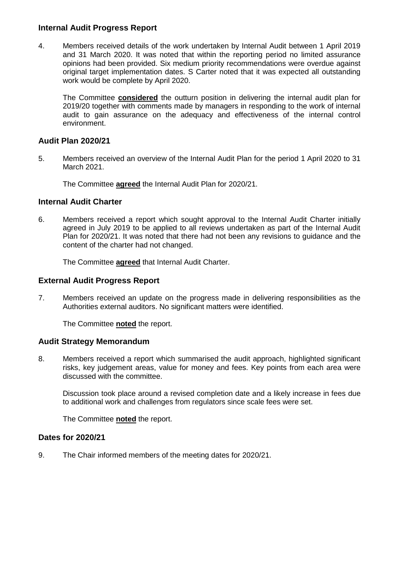## **Internal Audit Progress Report**

4. Members received details of the work undertaken by Internal Audit between 1 April 2019 and 31 March 2020. It was noted that within the reporting period no limited assurance opinions had been provided. Six medium priority recommendations were overdue against original target implementation dates. S Carter noted that it was expected all outstanding work would be complete by April 2020.

The Committee **considered** the outturn position in delivering the internal audit plan for 2019/20 together with comments made by managers in responding to the work of internal audit to gain assurance on the adequacy and effectiveness of the internal control environment.

## **Audit Plan 2020/21**

5. Members received an overview of the Internal Audit Plan for the period 1 April 2020 to 31 March 2021.

The Committee **agreed** the Internal Audit Plan for 2020/21.

### **Internal Audit Charter**

6. Members received a report which sought approval to the Internal Audit Charter initially agreed in July 2019 to be applied to all reviews undertaken as part of the Internal Audit Plan for 2020/21. It was noted that there had not been any revisions to guidance and the content of the charter had not changed.

The Committee **agreed** that Internal Audit Charter.

## **External Audit Progress Report**

7. Members received an update on the progress made in delivering responsibilities as the Authorities external auditors. No significant matters were identified.

The Committee **noted** the report.

## **Audit Strategy Memorandum**

8. Members received a report which summarised the audit approach, highlighted significant risks, key judgement areas, value for money and fees. Key points from each area were discussed with the committee.

Discussion took place around a revised completion date and a likely increase in fees due to additional work and challenges from regulators since scale fees were set.

The Committee **noted** the report.

## **Dates for 2020/21**

9. The Chair informed members of the meeting dates for 2020/21.